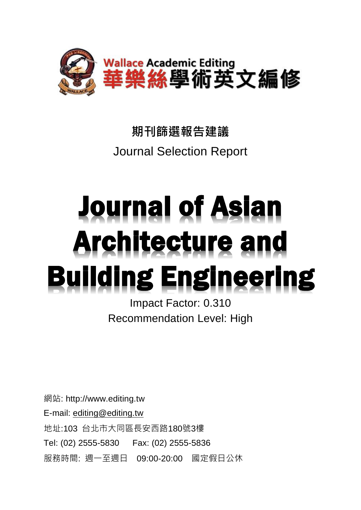

## **期刊篩選報告建議** Journal Selection Report

# **Journal of Asian Architecture and Building Engineering**

Impact Factor: 0.310 Recommendation Level: High

網站: http://www.editing.tw E-mail: [editing@editing.tw](mailto:editing@editing.tw) 地址:103 台北市大同區長安西路180號3樓 Tel: (02) 2555-5830 Fax: (02) 2555-5836 服務時間: 週一至週日 09:00-20:00 國定假日公休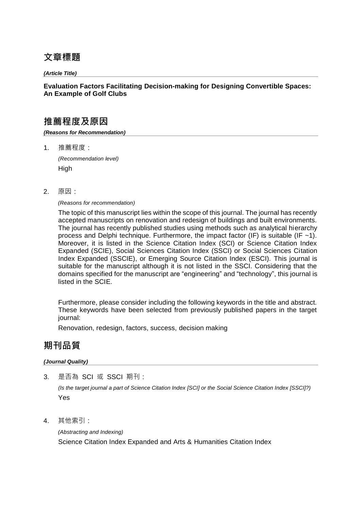## **文章標題**

*(Article Title)*

#### **Evaluation Factors Facilitating Decision-making for Designing Convertible Spaces: An Example of Golf Clubs**

## **推薦程度及原因**

*(Reasons for Recommendation)*

1. 推薦程度:

*(Recommendation level)* **High** 

2. 原因:

#### *(Reasons for recommendation)*

The topic of this manuscript lies within the scope of this journal. The journal has recently accepted manuscripts on renovation and redesign of buildings and built environments. The journal has recently published studies using methods such as analytical hierarchy process and Delphi technique. Furthermore, the impact factor (IF) is suitable (IF  $~1$ ). Moreover, it is listed in the Science Citation Index (SCI) or Science Citation Index Expanded (SCIE), Social Sciences Citation Index (SSCI) or Social Sciences Citation Index Expanded (SSCIE), or Emerging Source Citation Index (ESCI). This journal is suitable for the manuscript although it is not listed in the SSCI. Considering that the domains specified for the manuscript are "engineering" and "technology", this journal is listed in the SCIE.

Furthermore, please consider including the following keywords in the title and abstract. These keywords have been selected from previously published papers in the target journal:

Renovation, redesign, factors, success, decision making

## **期刊品質**

#### *(Journal Quality)*

3. 是否為 SCI 或 SSCI 期刊:

*(Is the target journal a part of Science Citation Index [SCI] or the Social Science Citation Index [SSCI]?)* Yes

4. 其他索引:

*(Abstracting and Indexing)* Science Citation Index Expanded and Arts & Humanities Citation Index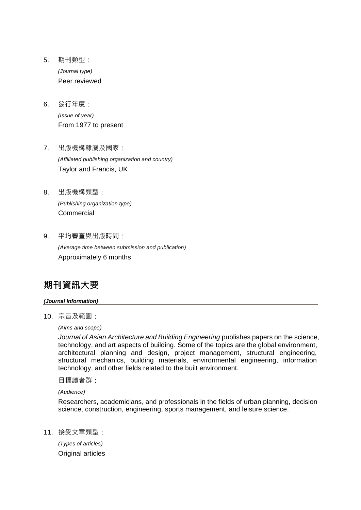- 5. 期刊類型: *(Journal type)* Peer reviewed
- 6. 發行年度: *(Issue of year)* From 1977 to present
- 7. 出版機構隸屬及國家: *(Affiliated publishing organization and country)* Taylor and Francis, UK
- 8. 出版機構類型: *(Publishing organization type)* Commercial
- 9. 平均審查與出版時間:

*(Average time between submission and publication)* Approximately 6 months

## **期刊資訊大要**

#### *(Journal Information)*

10. 宗旨及範圍:

*(Aims and scope)*

*Journal of Asian Architecture and Building Engineering* publishes papers on the science, technology, and art aspects of building. Some of the topics are the global environment, architectural planning and design, project management, structural engineering, structural mechanics, building materials, environmental engineering, information technology, and other fields related to the built environment.

目標讀者群:

*(Audience)* 

Researchers, academicians, and professionals in the fields of urban planning, decision science, construction, engineering, sports management, and leisure science.

11. 接受文章類型:

*(Types of articles)* Original articles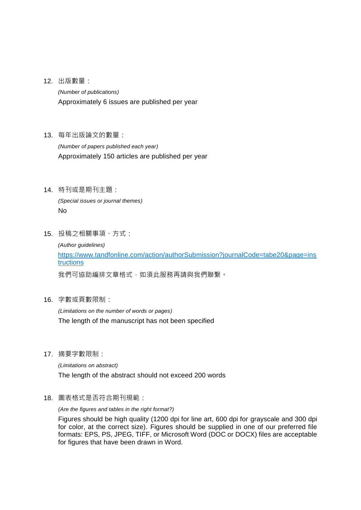12. 出版數量:

*(Number of publications)* Approximately 6 issues are published per year

13. 每年出版論文的數量:

*(Number of papers published each year)* Approximately 150 articles are published per year

14. 特刊或是期刊主題:

*(Special issues or journal themes)* No

15. 投稿之相關事項、方式:

*(Author guidelines)* https://www.tandfonline.com/action/authorSubmission?journalCode=tabe20&page=ins tructions

我們可協助編排文章格式,如須此服務再請與我們聯繫。

16. 字數或頁數限制:

*(Limitations on the number of words or pages)* The length of the manuscript has not been specified

17. 摘要字數限制:

*(Limitations on abstract)* The length of the abstract should not exceed 200 words

18. 圖表格式是否符合期刊規範:

*(Are the figures and tables in the right format?)*

Figures should be high quality (1200 dpi for line art, 600 dpi for grayscale and 300 dpi for color, at the correct size). Figures should be supplied in one of our preferred file formats: EPS, PS, JPEG, TIFF, or Microsoft Word (DOC or DOCX) files are acceptable for figures that have been drawn in Word.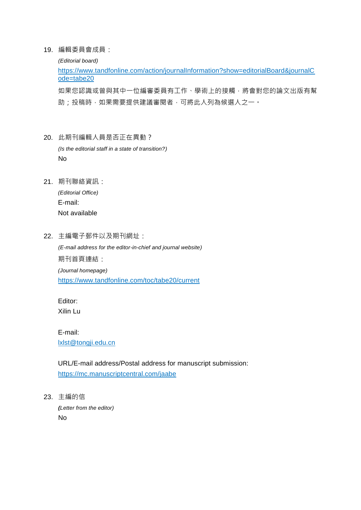19. 編輯委員會成員:

*(Editorial board)*

https://www.tandfonline.com/action/journalInformation?show=editorialBoard&journalC ode=tabe20

如果您認識或曾與其中一位編審委員有工作、學術上的接觸,將會對您的論文出版有幫 助;投稿時,如果需要提供建議審閱者,可將此人列為候選人之一。

- 20. 此期刊編輯人員是否正在異動? *(Is the editorial staff in a state of transition?)* No
- 21. 期刊聯絡資訊:

*(Editorial Office)* E-mail: Not available

22. 主編電子郵件以及期刊網址:

*(E-mail address for the editor-in-chief and journal website)* 期刊首頁連結: *(Journal homepage)* https://www.tandfonline.com/toc/tabe20/current

Editor: Xilin Lu

E-mail: lxlst@tongji.edu.cn

URL/E-mail address/Postal address for manuscript submission: https://mc.manuscriptcentral.com/jaabe

23. 主編的信

*(Letter from the editor)* No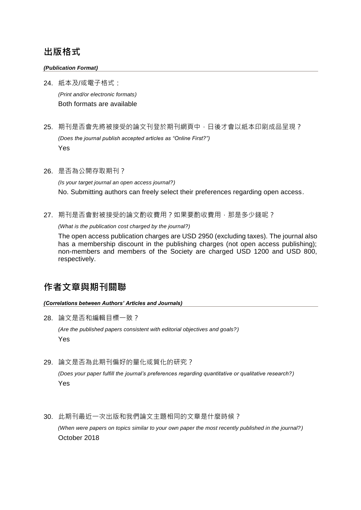### **出版格式**

#### *(Publication Format)*

24. 紙本及/或電子格式:

*(Print and/or electronic formats)* Both formats are available

25. 期刊是否會先將被接受的論文刊登於期刊網頁中,日後才會以紙本印刷成品呈現?

*(Does the journal publish accepted articles as "Online First?")* Yes

26. 是否為公開存取期刊?

*(Is your target journal an open access journal?)* No. Submitting authors can freely select their preferences regarding open access.

27. 期刊是否會對被接受的論文酌收費用?如果要酌收費用,那是多少錢呢?

*(What is the publication cost charged by the journal?)*

The open access publication charges are USD 2950 (excluding taxes). The journal also has a membership discount in the publishing charges (not open access publishing); non-members and members of the Society are charged USD 1200 and USD 800, respectively.

## **作者文章與期刊關聯**

*(Correlations between Authors' Articles and Journals)*

28. 論文是否和編輯目標一致?

*(Are the published papers consistent with editorial objectives and goals?)* Yes

29. 論文是否為此期刊偏好的量化或質化的研究?

*(Does your paper fulfill the journal's preferences regarding quantitative or qualitative research?)* Yes

30. 此期刊最近一次出版和我們論文主題相同的文章是什麼時候?

*(When were papers on topics similar to your own paper the most recently published in the journal?)* October 2018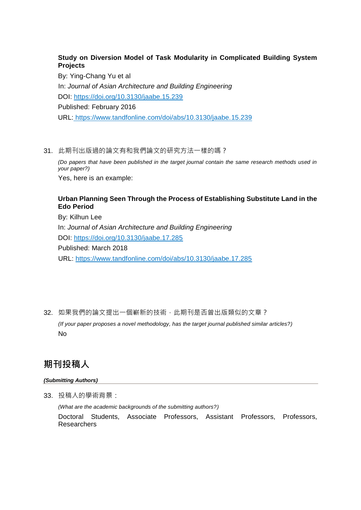#### **Study on Diversion Model of Task Modularity in Complicated Building System Projects**

By: Ying-Chang Yu et al In: *Journal of Asian Architecture and Building Engineering* DOI: https://doi.org/10.3130/jaabe.15.239 Published: February 2016 URL: https://www.tandfonline.com/doi/abs/10.3130/jaabe.15.239

31. 此期刊出版過的論文有和我們論文的研究方法一樣的嗎?

*(Do papers that have been published in the target journal contain the same research methods used in your paper?)*

Yes, here is an example:

#### **Urban Planning Seen Through the Process of Establishing Substitute Land in the Edo Period**

By: Kilhun Lee In: *Journal of Asian Architecture and Building Engineering* DOI: https://doi.org/10.3130/jaabe.17.285 Published: March 2018 URL: https://www.tandfonline.com/doi/abs/10.3130/jaabe.17.285

32. 如果我們的論文提出一個嶄新的技術,此期刊是否曾出版類似的文章? *(If your paper proposes a novel methodology, has the target journal published similar articles?)* No

## **期刊投稿人**

#### *(Submitting Authors)*

33. 投稿人的學術背景:

*(What are the academic backgrounds of the submitting authors?)* Doctoral Students, Associate Professors, Assistant Professors, Professors, Researchers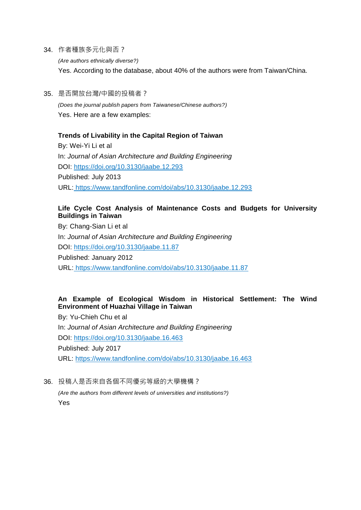34. 作者種族多元化與否?

*(Are authors ethnically diverse?)* Yes. According to the database, about 40% of the authors were from Taiwan/China.

35. 是否開放台灣/中國的投稿者? *(Does the journal publish papers from Taiwanese/Chinese authors?)* Yes. Here are a few examples:

#### **Trends of Livability in the Capital Region of Taiwan**

By: Wei-Yi Li et al In: *Journal of Asian Architecture and Building Engineering* DOI: https://doi.org/10.3130/jaabe.12.293 Published: July 2013 URL: https://www.tandfonline.com/doi/abs/10.3130/jaabe.12.293

#### **Life Cycle Cost Analysis of Maintenance Costs and Budgets for University Buildings in Taiwan**

By: Chang-Sian Li et al In: *Journal of Asian Architecture and Building Engineering* DOI: https://doi.org/10.3130/jaabe.11.87 Published: January 2012 URL: https://www.tandfonline.com/doi/abs/10.3130/jaabe.11.87

#### **An Example of Ecological Wisdom in Historical Settlement: The Wind Environment of Huazhai Village in Taiwan**

By: Yu-Chieh Chu et al In: *Journal of Asian Architecture and Building Engineering* DOI: https://doi.org/10.3130/jaabe.16.463 Published: July 2017 URL: https://www.tandfonline.com/doi/abs/10.3130/jaabe.16.463

36. 投稿人是否來自各個不同優劣等級的大學機構?

*(Are the authors from different levels of universities and institutions?)* Yes